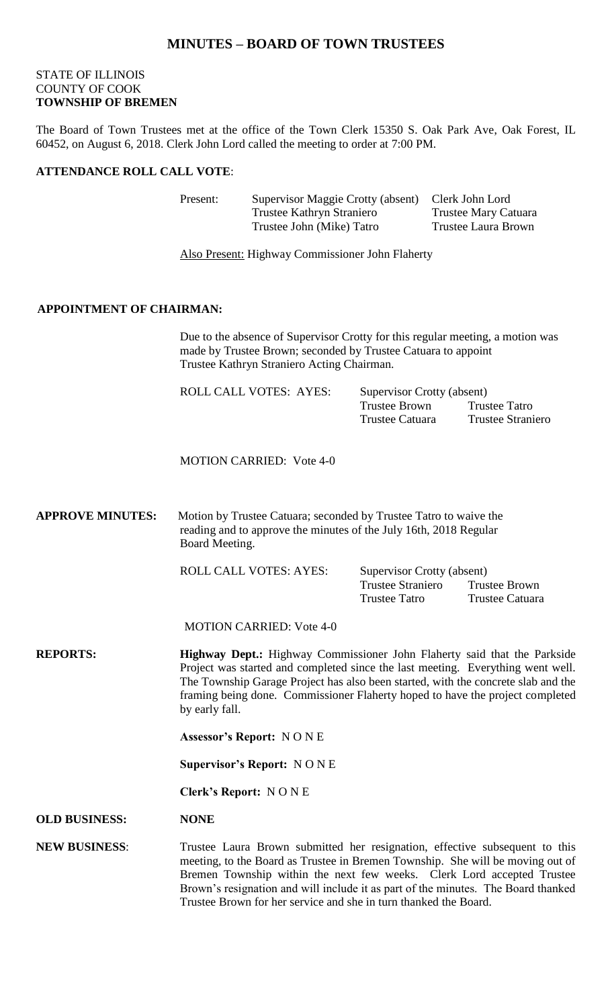# **MINUTES – BOARD OF TOWN TRUSTEES**

## STATE OF ILLINOIS COUNTY OF COOK **TOWNSHIP OF BREMEN**

The Board of Town Trustees met at the office of the Town Clerk 15350 S. Oak Park Ave, Oak Forest, IL 60452, on August 6, 2018. Clerk John Lord called the meeting to order at 7:00 PM.

## **ATTENDANCE ROLL CALL VOTE**:

| Present: | Supervisor Maggie Crotty (absent) | Clerk John Lord      |
|----------|-----------------------------------|----------------------|
|          | Trustee Kathryn Straniero         | Trustee Mary Catuara |
|          | Trustee John (Mike) Tatro         | Trustee Laura Brown  |

Also Present: Highway Commissioner John Flaherty

#### **APPOINTMENT OF CHAIRMAN:**

Due to the absence of Supervisor Crotty for this regular meeting, a motion was made by Trustee Brown; seconded by Trustee Catuara to appoint Trustee Kathryn Straniero Acting Chairman.

| <b>ROLL CALL VOTES: AYES:</b> | <b>Supervisor Crotty (absent)</b> |                          |  |
|-------------------------------|-----------------------------------|--------------------------|--|
|                               | Trustee Brown                     | Trustee Tatro            |  |
|                               | Trustee Catuara                   | <b>Trustee Straniero</b> |  |

MOTION CARRIED: Vote 4-0

**APPROVE MINUTES:** Motion by Trustee Catuara; seconded by Trustee Tatro to waive the reading and to approve the minutes of the July 16th, 2018 Regular Board Meeting.

ROLL CALL VOTES: AYES: Supervisor Crotty (absent)

Trustee Straniero Trustee Brown Trustee Tatro Trustee Catuara

MOTION CARRIED: Vote 4-0

**REPORTS: Highway Dept.:** Highway Commissioner John Flaherty said that the Parkside Project was started and completed since the last meeting. Everything went well. The Township Garage Project has also been started, with the concrete slab and the framing being done. Commissioner Flaherty hoped to have the project completed by early fall.

**Assessor's Report:** N O N E

**Supervisor's Report:** N O N E

**Clerk's Report:** N O N E

**OLD BUSINESS: NONE**

#### **NEW BUSINESS**: Trustee Laura Brown submitted her resignation, effective subsequent to this meeting, to the Board as Trustee in Bremen Township. She will be moving out of Bremen Township within the next few weeks. Clerk Lord accepted Trustee Brown's resignation and will include it as part of the minutes. The Board thanked Trustee Brown for her service and she in turn thanked the Board.